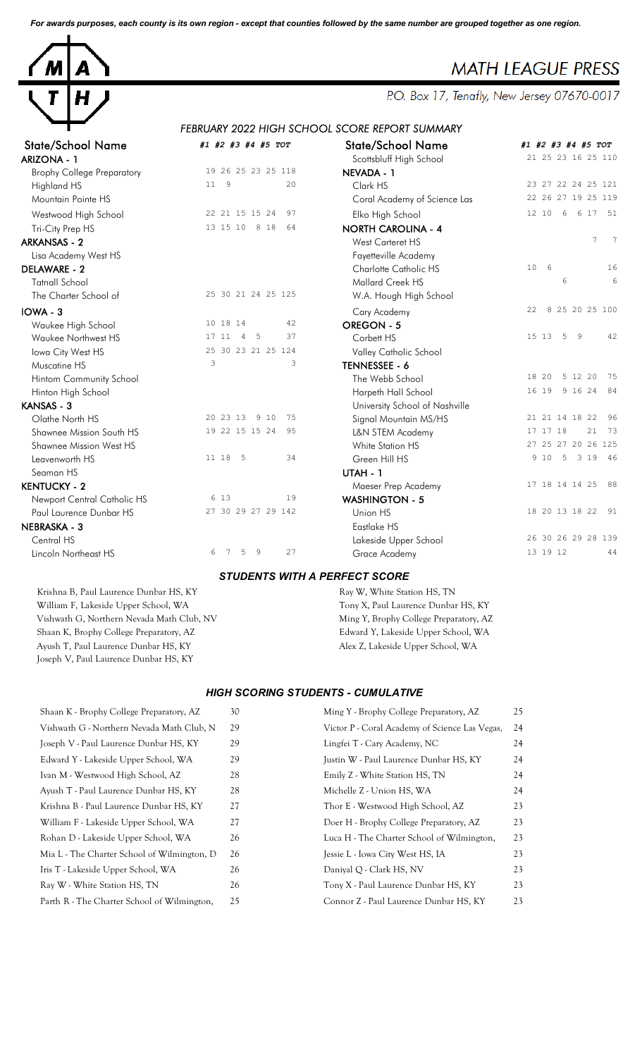*For awards purposes, each county is its own region - except that counties followed by the same number are grouped together as one region.*



# **MATH LEAGUE PRESS**

P.O. Box 17, Tenafly, New Jersey 07670-0017

## *FEBRUARY 2022 HIGH SCHOOL SCORE REPORT SUMMARY*

| State/School Name                 | #1 #2 #3 #4 #5 TOT                   | State/School Name              | #1             |
|-----------------------------------|--------------------------------------|--------------------------------|----------------|
| <b>ARIZONA - 1</b>                |                                      | Scottsbluff High School        | $\overline{c}$ |
| <b>Brophy College Preparatory</b> | 19 26 25 23 25 118                   | NEVADA - 1                     |                |
| Highland HS                       | 11<br>9<br>20                        | Clark HS                       | $\overline{c}$ |
| Mountain Pointe HS                |                                      | Coral Academy of Science Las   | $\overline{c}$ |
| Westwood High School              | 97<br>22 21 15 15 24                 | Elko High School               | $\mathbf{1}$   |
| Tri-City Prep HS                  | 13 15 10 8 18<br>64                  | <b>NORTH CAROLINA - 4</b>      |                |
| <b>ARKANSAS - 2</b>               |                                      | West Carteret HS               |                |
| Lisa Academy West HS              |                                      | Fayetteville Academy           |                |
| <b>DELAWARE - 2</b>               |                                      | Charlotte Catholic HS          | $\mathbf{1}$   |
| <b>Tatnall School</b>             |                                      | <b>Mallard Creek HS</b>        |                |
| The Charter School of             | 25 30 21 24 25 125                   | W.A. Hough High School         |                |
| IOWA - 3                          |                                      | Cary Academy                   | $\overline{c}$ |
| Waukee High School                | 10 18 14<br>42                       | OREGON - 5                     |                |
| Waukee Northwest HS               | 37<br>17 11<br>$\overline{4}$<br>- 5 | Corbett HS                     | $\mathbf{1}$   |
| Iowa City West HS                 | 25 30 23 21 25 124                   | Valley Catholic School         |                |
| Muscatine HS                      | 3<br>3                               | TENNESSEE - 6                  |                |
| Hintom Community School           |                                      | The Webb School                | $\mathbf{1}$   |
| Hinton High School                |                                      | Harpeth Hall School            | $\mathbf{1}$   |
| KANSAS - 3                        |                                      | University School of Nashville |                |
| Olathe North HS                   | 20 23 13<br>9 10<br>75               | Signal Mountain MS/HS          | $\overline{c}$ |
| Shawnee Mission South HS          | 19 22 15 15 24<br>95                 | L&N STEM Academy               | $\mathbf{1}$   |
| <b>Shawnee Mission West HS</b>    |                                      | White Station HS               | $\overline{c}$ |
| Leavenworth HS                    | 11 18<br>34<br>- 5                   | Green Hill HS                  |                |
| Seaman HS                         |                                      | UTAH - 1                       |                |
| <b>KENTUCKY - 2</b>               |                                      | Maeser Prep Academy            | $\mathbf{1}$   |
| Newport Central Catholic HS       | 6 13<br>19                           | <b>WASHINGTON - 5</b>          |                |
| Paul Laurence Dunbar HS           | 27 30 29 27 29 142                   | Union HS                       | $\mathbf{1}$   |
| <b>NEBRASKA - 3</b>               |                                      | Eastlake HS                    |                |
| Central HS                        |                                      | Lakeside Upper School          | $\overline{c}$ |
| Lincoln Northeast HS              | 5<br>9<br>27<br>6<br>7               | Grace Academy                  | $\mathbf{1}$   |

Joseph V, Paul Laurence Dunbar HS, KY

| <b>State/School Name</b>          | #1 #2 #3 #4 #5 TOT      | <b>State/School Name</b>       | #1 #2 #3 #4 #5 TOT                |
|-----------------------------------|-------------------------|--------------------------------|-----------------------------------|
| ARIZONA - 1                       |                         | Scottsbluff High School        | 21 25 23 16 25 110                |
| <b>Brophy College Preparatory</b> | 19 26 25 23 25 118      | NEVADA - 1                     |                                   |
| Highland HS                       | $11 \quad 9$<br>20      | Clark HS                       | 23 27 22 24 25 121                |
| Mountain Pointe HS                |                         | Coral Academy of Science Las   | 22 26 27 19 25 119                |
| Westwood High School              | 22 21 15 15 24<br>97    | Elko High School               | 6 17 51<br>12 10<br>6             |
| Tri-City Prep HS                  | 13 15 10 8 18<br>64     | <b>NORTH CAROLINA - 4</b>      |                                   |
| <b>ARKANSAS - 2</b>               |                         | West Carteret HS               | $\overline{7}$<br>$7\phantom{.0}$ |
| Lisa Academy West HS              |                         | Fayetteville Academy           |                                   |
| DELAWARE - 2                      |                         | Charlotte Catholic HS          | 6<br>16<br>10                     |
| <b>Tatnall School</b>             |                         | Mallard Creek HS               | $6\phantom{1}6$<br>6              |
| The Charter School of             | 25 30 21 24 25 125      | W.A. Hough High School         |                                   |
| IOWA - 3                          |                         | Cary Academy                   | 8 25 20 25 100<br>22              |
| Waukee High School                | 10 18 14<br>42          | <b>OREGON - 5</b>              |                                   |
| Waukee Northwest HS               | 5<br>37<br>17 11<br>4   | Corbett HS                     | 5<br>15 13<br>- 9<br>42           |
| Iowa City West HS                 | 25 30 23 21 25 124      | Valley Catholic School         |                                   |
| Muscatine HS                      | 3<br>3                  | TENNESSEE - 6                  |                                   |
| Hintom Community School           |                         | The Webb School                | 5 12 20<br>18 20<br>- 75          |
| Hinton High School                |                         | Harpeth Hall School            | 16 19 9 16 24 84                  |
| KANSAS - 3                        |                         | University School of Nashville |                                   |
| Olathe North HS                   | 20 23 13<br>9 10<br>75  | Signal Mountain MS/HS          | 96<br>21 21 14 18 22              |
| Shawnee Mission South HS          | 19 22 15 15 24<br>95    | L&N STEM Academy               | 21<br>73<br>17 17 18              |
| Shawnee Mission West HS           |                         | White Station HS               | 27 25 27 20 26 125                |
| Leavenworth HS                    | 11 18 5<br>34           | Green Hill HS                  | 9 10<br>5<br>3 19 46              |
| Seaman HS                         |                         | UTAH - 1                       |                                   |
| <b>KENTUCKY - 2</b>               |                         | Maeser Prep Academy            | 17 18 14 14 25 88                 |
| Newport Central Catholic HS       | 6 13<br>19              | <b>WASHINGTON - 5</b>          |                                   |
| Paul Laurence Dunbar HS           | 27 30 29 27 29 142      | Union HS                       | 18 20 13 18 22 91                 |
| NEBRASKA - 3                      |                         | Eastlake HS                    |                                   |
| Central HS                        |                         | Lakeside Upper School          | 26 30 26 29 28 139                |
| Lincoln Northeast HS              | 27<br>7<br>5<br>-9<br>6 | Grace Academy                  | 13 19 12<br>44                    |

#### *STUDENTS WITH A PERFECT SCORE*

Krishna B, Paul Laurence Dunbar HS, KY Ray W, White Station HS, TN William F, Lakeside Upper School, WA Tony X, Paul Laurence Dunbar HS, KY Vishwath G, Northern Nevada Math Club, NV Ming Y, Brophy College Preparatory, AZ Shaan K, Brophy College Preparatory, AZ Edward Y, Lakeside Upper School, WA Ayush T, Paul Laurence Dunbar HS, KY Alex Z, Lakeside Upper School, WA

#### *HIGH SCORING STUDENTS - CUMULATIVE*

| Shaan K - Brophy College Preparatory, AZ    | 30 | Ming Y - Brophy College Preparatory, AZ        | 25 |
|---------------------------------------------|----|------------------------------------------------|----|
| Vishwath G - Northern Nevada Math Club, N   | 29 | Victor P - Coral Academy of Science Las Vegas, | 24 |
| Joseph V - Paul Laurence Dunbar HS, KY      | 29 | Lingfei T - Cary Academy, NC                   | 24 |
| Edward Y - Lakeside Upper School, WA        | 29 | Justin W - Paul Laurence Dunbar HS, KY         | 24 |
| Ivan M - Westwood High School, AZ           | 28 | Emily Z - White Station HS, TN                 | 24 |
| Ayush T - Paul Laurence Dunbar HS, KY       | 28 | Michelle Z - Union HS, WA                      | 24 |
| Krishna B - Paul Laurence Dunbar HS, KY     | 27 | Thor E - Westwood High School, AZ              | 23 |
| William F - Lakeside Upper School, WA       | 27 | Doer H - Brophy College Preparatory, AZ        | 23 |
| Rohan D - Lakeside Upper School, WA         | 26 | Luca H - The Charter School of Wilmington,     | 23 |
| Mia L - The Charter School of Wilmington, D | 26 | Jessie L - Iowa City West HS, IA               | 23 |
| Iris T - Lakeside Upper School, WA          | 26 | Daniyal Q - Clark HS, NV                       | 23 |
| Ray W - White Station HS, TN                | 26 | Tony X - Paul Laurence Dunbar HS, KY           | 23 |
| Parth R - The Charter School of Wilmington, | 25 | Connor Z - Paul Laurence Dunbar HS, KY         | 23 |
|                                             |    |                                                |    |